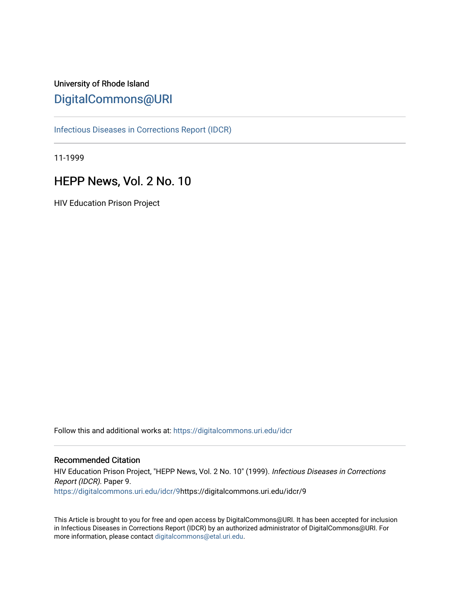### University of Rhode Island [DigitalCommons@URI](https://digitalcommons.uri.edu/)

[Infectious Diseases in Corrections Report \(IDCR\)](https://digitalcommons.uri.edu/idcr)

11-1999

### HEPP News, Vol. 2 No. 10

HIV Education Prison Project

Follow this and additional works at: [https://digitalcommons.uri.edu/idcr](https://digitalcommons.uri.edu/idcr?utm_source=digitalcommons.uri.edu%2Fidcr%2F9&utm_medium=PDF&utm_campaign=PDFCoverPages)

### Recommended Citation

HIV Education Prison Project, "HEPP News, Vol. 2 No. 10" (1999). Infectious Diseases in Corrections Report (IDCR). Paper 9. [https://digitalcommons.uri.edu/idcr/9](https://digitalcommons.uri.edu/idcr/9?utm_source=digitalcommons.uri.edu%2Fidcr%2F9&utm_medium=PDF&utm_campaign=PDFCoverPages)https://digitalcommons.uri.edu/idcr/9

This Article is brought to you for free and open access by DigitalCommons@URI. It has been accepted for inclusion in Infectious Diseases in Corrections Report (IDCR) by an authorized administrator of DigitalCommons@URI. For more information, please contact [digitalcommons@etal.uri.edu.](mailto:digitalcommons@etal.uri.edu)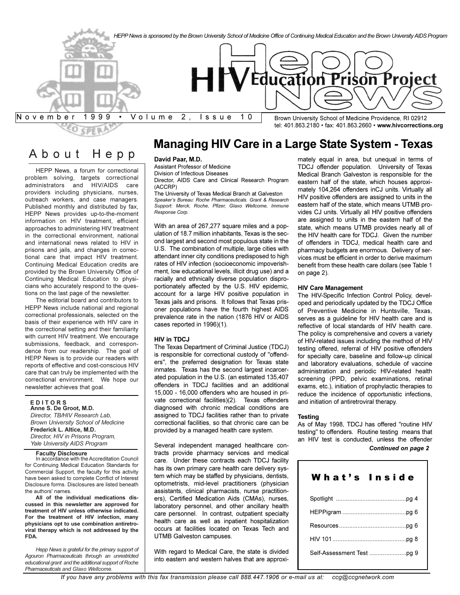

### About Hepp

HEPP News, a forum for correctional problem solving, targets correctional administrators and HIV/AIDS care providers including physicians, nurses, outreach workers, and case managers. Published monthly and distributed by fax, HEPP News provides up-to-the-moment information on HIV treatment, efficient approaches to administering HIV treatment in the correctional environment, national and international news related to HIV in prisons and jails, and changes in correctional care that impact HIV treatment. Continuing Medical Education credits are provided by the Brown University Office of Continuing Medical Education to physicians who accurately respond to the questions on the last page of the newsletter.

The editorial board and contributors to HEPP News include national and regional correctional professionals, selected on the basis of their experience with HIV care in the correctional setting and their familiarity with current HIV treatment. We encourage submissions, feedback, and correspondence from our readership. The goal of HEPP News is to provide our readers with reports of effective and cost-conscious HIV care that can truly be implemented with the correctional environment. We hope our newsletter achieves that goal.

### **E D I T O R S**

**Anne S. De Groot, M.D.** *Director, TB/HIV Research Lab, Brown University School of Medicine* **Frederick L. Altice, M.D.** *Director, HIV in Prisons Program, Yale University AIDS Program*

### **Faculty Disclosure**

In accordance with the Accreditation Council for Continuing Medical Education Standards for Commercial Support, the faculty for this activity have been asked to complete Conflict of Interest Disclosure forms. Disclosures are listed beneath the authors' names.

**All of the individual medications discussed in this newsletter are approved for treatment of HIV unless otherwise indicated. For the treatment of HIV infection, many physicians opt to use combination antiretroviral therapy which is not addressed by the FDA.**

*Hepp News is grateful for the primary support of Agouron Pharmaceuticals through an unrestricted educational grant and the additional support of Roche Pharmaceuticals and Glaxo Wellcome.*

## **Managing HIV Care in a Large State System - Texas**

### **David Paar, M.D.**

Assistant Professor of Medicine Division of Infectious Diseases Director, AIDS Care and Clinical Research Program (ACCRP)

The University of Texas Medical Branch at Galveston Speaker's Bureau: Roche Pharmaceuticals. Grant & Research *Support: Merck, Roche, Pfizer, Glaxo Wellcome, Immune Response Corp.*

With an area of 267,277 square miles and a population of 18.7 million inhabitants, Texas is the second largest and second most populous state in the U.S. The combination of multiple, large cities with attendant inner city conditions predisposed to high rates of HIV infection (socioeconomic impoverishment, low educational levels, illicit drug use) and a racially and ethnically diverse population disproportionately affected by the U.S. HIV epidemic, account for a large HIV positive population in Texas jails and prisons. It follows that Texas prisoner populations have the fourth highest AIDS prevalence rate in the nation (1876 HIV or AIDS cases reported in 1996)(1).

### **HIV in TDCJ**

The Texas Department of Criminal Justice (TDCJ) is responsible for correctional custody of "offenders", the preferred designation for Texas state inmates. Texas has the second largest incarcerated population in the U.S. (an estimated 135,407 offenders in TDCJ facilities and an additional 15,000 - 16,000 offenders who are housed in private correctional facilities)(2). Texas offenders diagnosed with chronic medical conditions are assigned to TDCJ facilities rather than to private correctional facilities, so that chronic care can be provided by a managed health care system.

Several independent managed healthcare contracts provide pharmacy services and medical care. Under these contracts each TDCJ facility has its own primary care health care delivery system which may be staffed by physicians, dentists, optometrists, mid-level practitioners (physician assistants, clinical pharmacists, nurse practitioners), Certified Medication Aids (CMAs), nurses, laboratory personnel, and other ancillary health care personnel. In contrast, outpatient specialty health care as well as inpatient hospitalization occurs at facilities located on Texas Tech and UTMB Galveston campuses.

With regard to Medical Care, the state is divided into eastern and western halves that are approxi-

mately equal in area, but unequal in terms of TDCJ offender population. University of Texas Medical Branch Galveston is responsible for the eastern half of the state, which houses approximately 104,264 offenders inCJ units. Virtually all HIV positive offenders are assigned to units in the eastern half of the state, which means UTMB provides CJ units. Virtually all HIV positive offenders are assigned to units in the eastern half of the state, which means UTMB provides nearly all of the HIV health care for TDCJ. Given the number of offenders in TDCJ, medical health care and pharmacy budgets are enormous. Delivery of services must be efficient in order to derive maximum benefit from these health care dollars (see Table 1 on page 2).

### **HIV Care Management**

The HIV-Specific Infection Control Policy, developed and periodically updated by the TDCJ Office of Preventive Medicine in Huntsville, Texas, serves as a guideline for HIV health care and is reflective of local standards of HIV health care. The policy is comprehensive and covers a variety of HIV-related issues including the method of HIV testing offered, referral of HIV positive offenders for specialty care, baseline and follow-up clinical and laboratory evaluations, schedule of vaccine administration and periodic HIV-related health screening (PPD, pelvic examinations, retinal exams, etc.), initiation of prophylactic therapies to reduce the incidence of opportunistic infections, and initiation of antiretroviral therapy.

### **Testing**

As of May 1998, TDCJ has offered "routine HIV testing" to offenders. Routine testing means that an HIV test is conducted, unless the offender *Continued on page 2*

| What's Inside |
|---------------|
|               |
|               |
|               |
|               |
|               |
|               |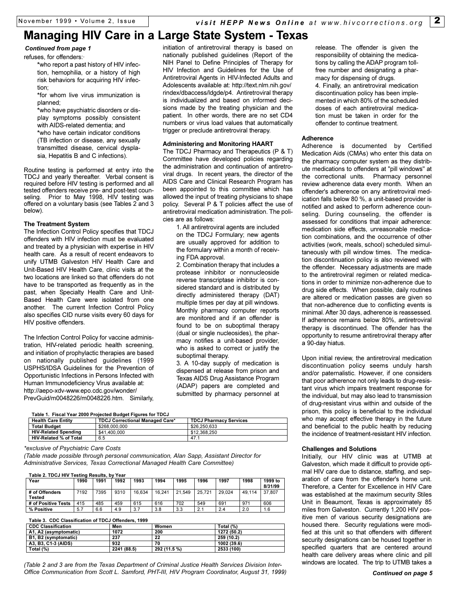### **Managing HIV Care in a Large State System - Texas**

*Continued from page 1*

refuses, for offenders:·

**\***who report a past history of HIV infection, hemophilia, or a history of high risk behaviors for acquiring HIV infection;

**\***for whom live virus immunization is planned;

**\***who have psychiatric disorders or display symptoms possibly consistent with AIDS-related dementia; and

**\***who have certain indicator conditions (TB infection or disease, any sexually transmitted disease, cervical dysplasia, Hepatitis B and C infections).

Routine testing is performed at entry into the TDCJ and yearly thereafter. Verbal consent is required before HIV testing is performed and all tested offenders receive pre- and post-test counseling. Prior to May 1998, HIV testing was offered on a voluntary basis (see Tables 2 and 3 below).

### **The Treatment System**

The Infection Control Policy specifies that TDCJ offenders with HIV infection must be evaluated and treated by a physician with expertise in HIV health care. As a result of recent endeavors to unify UTMB Galveston HIV Health Care and Unit-Based HIV Health Care, clinic visits at the two locations are linked so that offenders do not have to be transported as frequently as in the past, when Specialty Health Care and Unit-Based Health Care were isolated from one another. The current Infection Control Policy also specifies CID nurse visits every 60 days for HIV positive offenders.

The Infection Control Policy for vaccine administration, HIV-related periodic health screening, and initiation of prophylactic therapies are based on nationally published guidelines (1999 USPHS/IDSA Guidelines for the Prevention of Opportunistic Infections in Persons Infected with Human Immunodeficiency Virus available at: http://aepo-xdv-www.epo.cdc.gov/wonder/ PrevGuid/m0048226/m0048226.htm. Similarly,

initiation of antiretroviral therapy is based on nationally published guidelines (Report of the NIH Panel to Define Principles of Therapy for HIV Infection and Guidelines for the Use of Antiretroviral Agents in HIV-Infected Adults and Adolescents available at: http://text.nlm.nih.gov/ rindex/dbaccess/ldgde/p4. Antiretroviral therapy is individualized and based on informed decisions made by the treating physician and the patient. In other words, there are no set CD4 numbers or virus load values that automatically trigger or preclude antiretroviral therapy.

### **Administering and Monitoring HAART**

The TDCJ Pharmacy and Therapeutics (P & T) Committee have developed policies regarding the administration and continuation of antiretroviral drugs. In recent years, the director of the AIDS Care and Clinical Research Program has been appointed to this committee which has allowed the input of treating physicians to shape policy. Several P & T policies affect the use of antiretroviral medication administration. The policies are as follows:

1. All antiretroviral agents are included on the TDCJ Formulary; new agents are usually approved for addition to the formulary within a month of receiving FDA approval.

2. Combination therapy that includes a protease inhibitor or nonnucleoside reverse transcriptase inhibitor is considered standard and is distributed by directly administered therapy (DAT) multiple times per day at pill windows. Monthly pharmacy computer reports are monitored and if an offender is found to be on suboptimal therapy (dual or single nucleosides), the pharmacy notifies a unit-based provider, who is asked to correct or justify the suboptimal therapy.

3. A 10-day supply of medication is dispensed at release from prison and Texas AIDS Drug Assistance Program (ADAP) papers are completed and submitted by pharmacy personnel at

**Table 1. Fiscal Year 2000 Projected Budget Figures for TDCJ**

| <b>Health Care Entity</b>     | <b>TDCJ Correctional Managed Care*</b> | <b>TDCJ Pharmacy Services</b> |
|-------------------------------|----------------------------------------|-------------------------------|
| <b>Total Budget</b>           | \$268,000,000                          | \$26,250,633                  |
| <b>HIV-Related Spending</b>   | \$41,400,000                           | \$12,368,250                  |
| <b>HIV-Related % of Total</b> | 6.5                                    | .47 <sup>4</sup>              |

*\*exclusive of Psychiatric Care Costs*

*(Table made possible through personal communication, Alan Sapp, Assistant Director for Administrative Services, Texas Correctional Managed Health Care Committee)*

#### **Table 2. TDCJ HIV Testing Results, by Year**

| Year                            | 1990 | 1991 | 1992 | 1993   | 1994   | 1995   | 1996   | 1997   | 1998   | 1999 to<br>8/31/99 |
|---------------------------------|------|------|------|--------|--------|--------|--------|--------|--------|--------------------|
| # of Offenders<br><b>Tested</b> | 7192 | 7395 | 9310 | 16.634 | 16.241 | 21.549 | 25.721 | 29.024 | 49.114 | 37.807             |
| # of Positive Tests             | 415  | 485  | 459  | 615    | 616    | 702    | 549    | 691    | 971    | 606                |
| % Positive                      | 5.7  | 6.6  | 4.9  | 3.7    | 3.8    | 3.3    | 2.1    | 2.4    | 2.0    | 1.6                |

| Table 3. CDC Classification of TDCJ Offenders, 1999 |  |
|-----------------------------------------------------|--|
|                                                     |  |

| <b>CDC Classification</b> | Men         | Women        | Total (%)   |  |
|---------------------------|-------------|--------------|-------------|--|
| A1, A2 (asymptomatic)     | 1072        | 200          | 1272 (50.2) |  |
| B1, B2 (symptomatic)      | 237         | 22           | 259 (10.2)  |  |
| A3. B3. C1-3 (AIDS)       | 932         | 70           | 1002 (39.6) |  |
| Total (%)                 | 2241 (88.5) | 292 (11.5 %) | 2533 (100)  |  |

*(Table 2 and 3 are from the Texas Department of Criminal Justice Health Services Division Inter-Office Communication from Scott L. Samford, PHT-III, HIV Program Coordinator, August 31, 1999) Continued on page 5*

release. The offender is given the responsibility of obtaining the medications by calling the ADAP program tollfree number and designating a pharmacy for dispensing of drugs. 4. Finally, an antiretroviral medication discontinuation policy has been implemented in which 80% of the scheduled doses of each antiretroviral medication must be taken in order for the offender to continue treatment.

### **Adherence**

Adherence is documented by Certified Medication Aids (CMAs) who enter this data on the pharmacy computer system as they distribute medications to offenders at "pill windows" at the correctional units. Pharmacy personnel review adherence data every month. When an offender's adherence on any antiretroviral medication falls below 80 %, a unit-based provider is notified and asked to perform adherence counseling. During counseling, the offender is assessed for conditions that impair adherence: medication side effects, unreasonable medication combinations, and the occurrence of other activities (work, meals, school) scheduled simultaneously with pill window times. The medication discontinuation policy is also reviewed with the offender. Necessary adjustments are made to the antiretroviral regimen or related medications in order to minimize non-adherence due to drug side effects. When possible, daily routines are altered or medication passes are given so that non-adherence due to conflicting events is minimal. After 30 days, adherence is reassessed. If adherence remains below 80%, antiretroviral therapy is discontinued. The offender has the opportunity to resume antiretroviral therapy after a 90-day hiatus.

Upon initial review, the antiretroviral medication discontinuation policy seems unduly harsh and/or paternalistic. However, if one considers that poor adherence not only leads to drug-resistant virus which impairs treatment response for the individual, but may also lead to transmission of drug-resistant virus within and outside of the prison, this policy is beneficial to the individual who may accept effective therapy in the future and beneficial to the public health by reducing the incidence of treatment-resistant HIV infection.

### **Challenges and Solutions**

Initially, our HIV clinic was at UTMB at Galveston, which made it difficult to provide optimal HIV care due to distance, staffing, and separation of care from the offender's home unit. Therefore, a Center for Excellence in HIV Care was established at the maximum security Stiles Unit in Beaumont, Texas is approximately 85 miles from Galveston. Currently 1,200 HIV positive men of various security designations are housed there. Security regulations were modified at this unit so that offenders with different security designations can be housed together in specified quarters that are centered around health care delivery areas where clinic and pill windows are located. The trip to UTMB takes a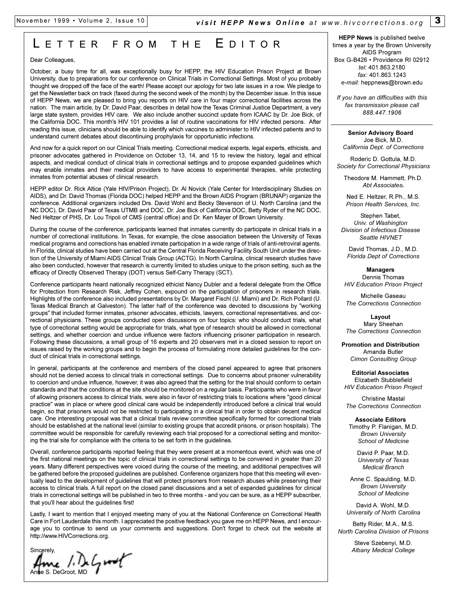### L ETTER FROM THE E DITOR

#### Dear Colleagues.

October, a busy time for all, was exceptionally busy for HEPP, the HIV Education Prison Project at Brown University, due to preparations for our conference on Clinical Trials in Correctional Settings. Most of you probably thought we dropped off the face of the earth! Please accept our apology for two late issues in a row. We pledge to get the Newsletter back on track (faxed during the second week of the month) by the December issue. In this issue of HEPP News, we are pleased to bring you reports on HIV care in four major correctional facilities across the nation. The main article, by Dr. David Paar, describes in detail how the Texas Criminal Justice Department, a very large state system, provides HIV care. We also include another succinct update from ICAAC by Dr. Joe Bick, of the California DOC. This month's HIV 101 provides a list of routine vaccinations for HIV infected persons. After reading this issue, clinicians should be able to identify which vaccines to administer to HIV infected patients and to understand current debates about discontinuing prophylaxis for opportunistic infections.

And now for a quick report on our Clinical Trials meeting. Correctional medical experts, legal experts, ethicists, and prisoner advocates gathered in Providence on October 13, 14, and 15 to review the history, legal and ethical aspects, and medical conduct of clinical trials in correctional settings and to propose expanded guidelines which may enable inmates and their medical providers to have access to experimental therapies, while protecting inmates from potential abuses of clinical research.

HEPP editor Dr. Rick Altice (Yale HIV/Prison Project), Dr. Al Novick (Yale Center for Interdisciplinary Studies on AIDS), and Dr. David Thomas (Florida DOC) helped HEPP and the Brown AIDS Program (BRUNAP) organize the conference. Additional organizers included Drs. David Wohl and Becky Stevenson of U. North Carolina (and the NC DOC), Dr. David Paar of Texas UTMB and DOC, Dr. Joe Bick of California DOC, Betty Ryder of the NC DOC, Ned Heltzer of PHS, Dr. Lou Tripoli of CMS (central office) and Dr. Ken Mayer of Brown University.

During the course of the conference, participants learned that inmates currently do participate in clinical trials in a number of correctional institutions. In Texas, for example, the close association between the University of Texas medical programs and corrections has enabled inmate participation in a wide range of trials of anti-retroviral agents. In Florida, clinical studies have been carried out at the Central Florida Receiving Facility South Unit under the direction of the University of Miami AIDS Clinical Trials Group (ACTG). In North Carolina, clinical research studies have also been conducted, however that research is currently limited to studies unique to the prison setting, such as the efficacy of Directly Observed Therapy (DOT) versus Self-Carry Therapy (SCT).

Conference participants heard nationally recognized ethicist Nancy Dubler and a federal delegate from the Office for Protection from Research Risk, Jeffrey Cohen, expound on the participation of prisoners in research trials. Highlights of the conference also included presentations by Dr. Margaret Fischl (U. Miami) and Dr. Rich Pollard (U. Texas Medical Branch at Galveston). The latter half of the conference was devoted to discussions by "working groups" that included former inmates, prisoner advocates, ethicists, lawyers, correctional representatives, and correctional physicians. These groups conducted open discussions on four topics: who should conduct trials, what type of correctional setting would be appropriate for trials, what type of research should be allowed in correctional settings, and whether coercion and undue influence were factors influencing prisoner participation in research. Following these discussions, a small group of 16 experts and 20 observers met in a closed session to report on issues raised by the working groups and to begin the process of formulating more detailed guidelines for the conduct of clinical trials in correctional settings.

In general, participants at the conference and members of the closed panel appeared to agree that prisoners should not be denied access to clinical trials in correctional settings. Due to concerns about prisoner vulnerability to coercion and undue influence, however, it was also agreed that the setting for the trial should conform to certain standards and that the conditions at the site should be monitored on a regular basis. Participants who were in favor of allowing prisoners access to clinical trials, were also in favor of restricting trials to locations where "good clinical practice" was in place or where good clinical care would be independently introduced before a clinical trial would begin, so that prisoners would not be restricted to participating in a clinical trial in order to obtain decent medical care. One interesting proposal was that a clinical trials review committee specifically formed for correctional trials should be established at the national level (similar to existing groups that accredit prisons, or prison hospitals). The committee would be responsible for carefully reviewing each trial proposed for a correctional setting and monitoring the trial site for compliance with the criteria to be set forth in the guidelines.

Overall, conference participants reported feeling that they were present at a momentous event, which was one of the first national meetings on the topic of clinical trials in correctional settings to be convened in greater than 20 years. Many different perspectives were voiced during the course of the meeting, and additional perspectives will be gathered before the proposed guidelines are published. Conference organizers hope that this meeting will eventually lead to the development of guidelines that will protect prisoners from research abuses while preserving their access to clinical trials. A full report on the closed panel discussions and a set of expanded guidelines for clinical trials in correctional settings will be published in two to three months - and you can be sure, as a HEPP subscriber, that you'll hear about the guidelines first!

Lastly, I want to mention that I enjoyed meeting many of you at the National Conference on Correctional Health Care in Fort Lauderdale this month. I appreciated the positive feedback you gave me on HEPP News, and I encourage you to continue to send us your comments and suggestions. Don't forget to check out the website at http://www.HIVCorrections.org.

Sincerely,

 $A_{\text{max}}$  /  $B_{\text{max}}$   $C_{\text{max}}$ 

**HEPP News** is published twelve times a year by the Brown University AIDS Program Box G-B426 · Providence RI 02912 *tel:* 401.863.2180 *fax:* 401.863.1243 *e-mail:* heppnews@brown.edu

*If you have an difficulties with this fax transmission please call 888.447.1906*

**Senior Advisory Board** Joe Bick, M.D. *California Dept. of Corrections*

Roderic D. Gottula, M.D. *Society for Correctional Physicians*

Theodore M. Hammett, Ph.D. *Abt Associates*<sup>v</sup>

Ned E. Heltzer, R.Ph., M.S. *Prison Health Services, Inc.*

Stephen Tabet, *Univ. of Washington Division of Infectious Disease Seattle HIVNET*

David Thomas, J.D., M.D. *Florida Dept of Corrections*

**Managers** Dennis Thomas *HIV Education Prison Project*

Michelle Gaseau *The Corrections Connection*

**Layout**  Mary Sheehan *The Corrections Connection*

**Promotion and Distribution** Amanda Butler *Cimon Consulting Group*

**Editorial Associates**  Elizabeth Stubblefield *HIV Education Prison Project*

Christine Mastal *The Corrections Connection*

**Associate Editors** Timothy P. Flanigan, M.D. *Brown University School of Medicine*

> David P. Paar, M.D. *University of Texas Medical Branch*

Anne C. Spaulding, M.D. *Brown University School of Medicine*

David A. Wohl, M.D. *University of North Carolina*

Betty Rider, M.A., M.S. *North Carolina Division of Prisons*

> Steve Szebenyi, M.D. *Albany Medical College*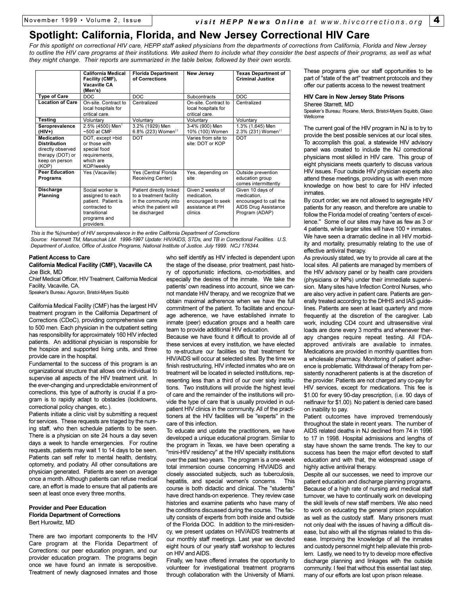### **Spotlight: California, Florida, and New Jersey Correctional HIV Care**

*For this spotlight on correctional HIV care, HEPP staff asked physicians from the departments of corrections from California, Florida and New Jersey to outline the HIV care programs at their institutions. We asked them to include what they consider the best aspects of their programs, as well as what they might change. Their reports are summarized in the table below, followed by their own words.*

|                                                                                                              | California Medical<br>Facility (CMF),<br><b>Vacaville CA</b><br>(Men's)                                                    | <b>Florida Department</b><br>of Corrections                                                                            | <b>New Jersey</b>                                                                    | <b>Texas Department of</b><br><b>Criminal Justice</b>                                               |
|--------------------------------------------------------------------------------------------------------------|----------------------------------------------------------------------------------------------------------------------------|------------------------------------------------------------------------------------------------------------------------|--------------------------------------------------------------------------------------|-----------------------------------------------------------------------------------------------------|
| <b>Type of Care</b>                                                                                          | <b>DOC</b>                                                                                                                 | <b>DOC</b>                                                                                                             | Subcontracts                                                                         | DOC                                                                                                 |
| <b>Location of Care</b>                                                                                      | On-site. Contract to<br>local hospitals for<br>critical care.                                                              | Centralized                                                                                                            | On-site. Contract to<br>local hospitals for<br>critical care.                        | Centralized                                                                                         |
| Testing                                                                                                      | Voluntary                                                                                                                  | Voluntary                                                                                                              | Voluntary                                                                            | Voluntary                                                                                           |
| Seroprevalence<br>(HIV+)                                                                                     | 2.5% (4500) Men <sup>1</sup><br>$~500$ at CMF                                                                              | 3.2% (1929) Men<br>6.8% (223) Women <sup>11</sup>                                                                      | 3-4% (900) Men<br>10% (100) Women                                                    | 1.3% (1,645) Men<br>2.3% (231) Women <sup>11</sup>                                                  |
| <b>Medication</b><br><b>Distribution</b><br>directly observed<br>therapy (DOT) or<br>keep on person<br>(KOP) | DOT, except >bid<br>or those with<br>special food<br>requirements,<br>which are<br><b>KOP/weekly</b>                       | <b>DOT</b>                                                                                                             | Varies from site to<br>site: DOT or KOP                                              | <b>DOT</b>                                                                                          |
| <b>Peer Education</b><br>Programs                                                                            | Yes (Vacaville)                                                                                                            | Yes (Central Florida<br>Receiving Center)                                                                              | Yes, depending on<br>site                                                            | Outside prevention<br>education group<br>comes intermittently                                       |
| Discharge<br>Planning                                                                                        | Social worker is<br>assigned to each<br>patient. Patient is<br>contracted to<br>transitional<br>programs and<br>providers. | Patient directly linked<br>to a treatment facility<br>in the community into<br>which the patient will<br>be discharged | Given 2 weeks of<br>medication.<br>encouraged to seek<br>assistance at PH<br>clinics | Given 10 days of<br>medication.<br>encouraged to call the<br>AIDS Drug Assistance<br>Program (ADAP) |

*This is the %(number) of HIV seroprevalence in the entire California Department of Corrections Source: Hammett TM, Maruschak LM. 1996-1997 Update: HIV/AIDS, STDs, and TB in Correctional Facilities. U.S. Department of Justice, Office of Justice Programs, National Institute of Justice. July 1999. NCJ 176344.*

#### **Patient Access to Care**

#### **California Medical Facility (CMF), Vacaville CA** Joe Bick, MD

Chief Medical Officer, HIV Treatment, California Medical Facility, Vacaville, CA,

Speaker's Bureau: Agouron, Bristol-Myers Squibb

California Medical Facility (CMF) has the largest HIV treatment program in the California Department of Corrections (CDoC), providing comprehensive care to 500 men. Each physician in the outpatient setting has responsibility for approximately 160 HIV infected patients. An additional physician is responsible for the hospice and supported living units, and three provide care in the hospital.

Fundamental to the success of this program is an organizational structure that allows one individual to supervise all aspects of the HIV treatment unit. In the ever-changing and unpredictable environment of corrections, this type of authority is crucial if a program is to rapidly adapt to obstacles (lockdowns, correctional policy changes, etc.).

Patients initiate a clinic visit by submitting a request for services. These requests are triaged by the nursing staff, who then schedule patients to be seen. There is a physician on site 24 hours a day seven days a week to handle emergencies. For routine requests, patients may wait 1 to 14 days to be seen. Patients can self refer to mental health, dentistry, optometry, and podiatry. All other consultations are physician generated. Patients are seen on average once a month. Although patients can refuse medical care, an effort is made to ensure that all patients are seen at least once every three months.

### **Provider and Peer Education Florida Department of Corrections** Bert Hurowitz, MD

There are two important components to the HIV Care program at the Florida Department of Corrections: our peer education program, and our provider education program. The programs begin once we have found an inmate is seropositive. Treatment of newly diagnosed inmates and those

who self identify as HIV infected is dependent upon the stage of the disease, prior treatment, past history of opportunistic infections, co-morbidities, and especially the desires of the inmate. We take the patients' own readiness into account, since we cannot mandate HIV therapy, and we recognize that we obtain maximal adherence when we have the full commitment of the patient. To facilitate and encourage adherence, we have established inmate to inmate (peer) education groups and a health care team to provide additional HIV education.

Because we have found it difficult to provide all of these services at every institution, we have elected to re-structure our facilities so that treatment for HIV/AIDS will occur at selected sites. By the time we finish restructuring, HIV infected inmates who are on treatment will be located in selected institutions, representing less than a third of our over sixty institutions. Two institutions will provide the highest level of care and the remainder of the institutions will provide the type of care that is usually provided in outpatient HIV clinics in the community. All of the practitioners at the HIV facilities will be "experts" in the care of this infection.

To educate and update the practitioners, we have developed a unique educational program. Similar to the program in Texas, we have been operating a "mini-HIV residency" at the HIV specialty institutions over the past two years. The program is a one-week total immersion course concerning HIV/AIDS and closely associated subjects, such as tuberculosis, hepatitis, and special women's concerns. This course is both didactic and clinical. The "students" have direct hands-on experience. They review case histories and examine patients who have many of the conditions discussed during the course. The faculty consists of experts from both inside and outside of the Florida DOC. In addition to the mini-residency, we present updates on HIV/AIDS treatments at our monthly staff meetings. Last year we devoted eight hours of our yearly staff workshop to lectures on HIV and AIDS.

Finally, we have offered inmates the opportunity to volunteer for investigational treatment programs through collaboration with the University of Miami.

These programs give our staff opportunities to be part of "state of the art" treatment protocols and they offer our patients access to the newest treatment

#### **HIV Care in New Jersey State Prisons** Sheree Starrett, MD

Speaker's Bureau: Roxane, Merck, Bristol-Myers Squibb, Glaxo Wellcome

The current goal of the HIV program in NJ is to try to provide the best possible services at our local sites. To accomplish this goal, a statewide HIV advisory panel was created to include the NJ correctional physicians most skilled in HIV care. This group of eight physicians meets quarterly to discuss various HIV issues. Four outside HIV physician experts also attend these meetings, providing us with even more knowledge on how best to care for HIV infected inmates.

By court order, we are not allowed to segregate HIV patients for any reason, and therefore are unable to follow the Florida model of creating "centers of excellence." Some of our sites may have as few as 3 or 4 patients, while larger sites will have 100 + inmates. We have seen a dramatic decline in all HIV morbidity and mortality, presumably relating to the use of effective antiviral therapy.

As previously stated, we try to provide all care at the local sites. All patients are managed by members of the HIV advisory panel or by health care providers (physicians or NPs) under their immediate supervision. Many sites have Infection Control Nurses, who are also very active in patient care. Patients are generally treated according to the DHHS and IAS guidelines. Patients are seen at least quarterly and more frequently at the discretion of the caregiver. Lab work, including CD4 count and ultrasensitive viral loads are done every 3 months and whenever therapy changes require repeat testing. All FDAapproved antivirals are available to inmates. Medications are provided in monthly quantities from a wholesale pharmacy. Monitoring of patient adherence is problematic. Withdrawal of therapy from persistently nonadherent patients is at the discretion of the provider. Patients are not charged any co-pay for HIV services, except for medications. This fee is \$1.00 for every 90-day prescription, (i.e. 90 days of nelfinavir for \$1.00). No patient is denied care based on inability to pay.

Patient outcomes have improved tremendously throughout the state in recent years. The number of AIDS related deaths in NJ declined from 74 in 1996 to 17 in 1998. Hospital admissions and lengths of stay have shown the same trends. The key to our success has been the major effort devoted to staff education and with that, the widespread usage of highly active antiviral therapy.

Despite all our successes, we need to improve our patient education and discharge planning programs. Because of a high rate of nursing and medical staff turnover, we have to continually work on developing the skill levels of new staff members. We also need to work on educating the general prison population as well as the custody staff. Many prisoners must not only deal with the issues of having a difficult disease, but also with all the stigmas related to this disease. Improving the knowledge of all the inmates and custody personnel might help alleviate this problem. Lastly, we need to try to develop more effective discharge planning and linkages with the outside community. I feel that without this essential last step, many of our efforts are lost upon prison release.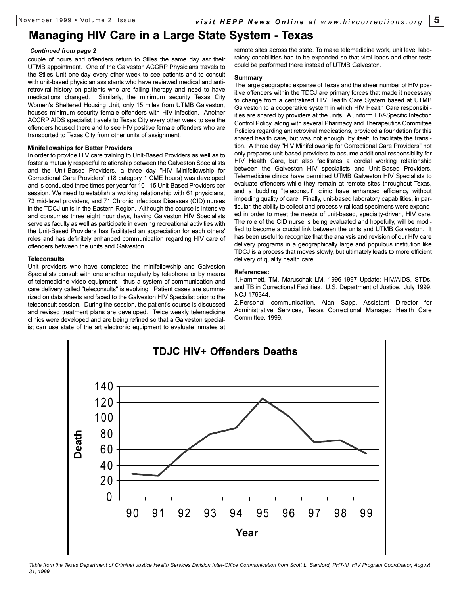### **Managing HIV Care in a Large State System - Texas**

#### *Continued from page 2*

couple of hours and offenders return to Stiles the same day asr their UTMB appointment. One of the Galveston ACCRP Physicians travels to the Stiles Unit one-day every other week to see patients and to consult with unit-based physician assistants who have reviewed medical and antiretroviral history on patients who are failing therapy and need to have medications changed. Similarly, the minimum security Texas City Women's Sheltered Housing Unit, only 15 miles from UTMB Galveston, houses minimum security female offenders with HIV infection. Another ACCRP AIDS specialist travels to Texas City every other week to see the offenders housed there and to see HIV positive female offenders who are transported to Texas City from other units of assignment.

### **Minifellowships for Better Providers**

In order to provide HIV care training to Unit-Based Providers as well as to foster a mutually respectful relationship between the Galveston Specialists and the Unit-Based Providers, a three day "HIV Minifellowship for Correctional Care Providers" (18 category 1 CME hours) was developed and is conducted three times per year for 10 - 15 Unit-Based Providers per session. We need to establish a working relationship with 61 physicians, 73 mid-level providers, and 71 Chronic Infectious Diseases (CID) nurses in the TDCJ units in the Eastern Region. Although the course is intensive and consumes three eight hour days, having Galveston HIV Specialists serve as faculty as well as participate in evening recreational activities with the Unit-Based Providers has facilitated an appreciation for each others' roles and has definitely enhanced communication regarding HIV care of offenders between the units and Galveston.

#### **Teleconsults**

Unit providers who have completed the minifellowship and Galveston Specialists consult with one another regularly by telephone or by means of telemedicine video equipment - thus a system of communication and care delivery called "teleconsults" is evolving. Patient cases are summarized on data sheets and faxed to the Galveston HIV Specialist prior to the teleconsult session. During the session, the patient's course is discussed and revised treatment plans are developed. Twice weekly telemedicine clinics were developed and are being refined so that a Galveston specialist can use state of the art electronic equipment to evaluate inmates at

remote sites across the state. To make telemedicine work, unit level laboratory capabilities had to be expanded so that viral loads and other tests could be performed there instead of UTMB Galveston.

#### **Summary**

The large geographic expanse of Texas and the sheer number of HIV positive offenders within the TDCJ are primary forces that made it necessary to change from a centralized HIV Health Care System based at UTMB Galveston to a cooperative system in which HIV Health Care responsibilities are shared by providers at the units. A uniform HIV-Specific Infection Control Policy, along with several Pharmacy and Therapeutics Committee Policies regarding antiretroviral medications, provided a foundation for this shared health care, but was not enough, by itself, to facilitate the transition. A three day "HIV Minifellowship for Correctional Care Providers" not only prepares unit-based providers to assume additional responsibility for HIV Health Care, but also facilitates a cordial working relationship between the Galveston HIV specialists and Unit-Based Providers. Telemedicine clinics have permitted UTMB Galveston HIV Specialists to evaluate offenders while they remain at remote sites throughout Texas, and a budding "teleconsult" clinic have enhanced efficiency without impeding quality of care. Finally, unit-based laboratory capabilities, in particular, the ability to collect and process viral load specimens were expanded in order to meet the needs of unit-based, specialty-driven, HIV care. The role of the CID nurse is being evaluated and hopefully, will be modified to become a crucial link between the units and UTMB Galveston. It has been useful to recognize that the analysis and revision of our HIV care delivery programs in a geographically large and populous institution like TDCJ is a process that moves slowly, but ultimately leads to more efficient delivery of quality health care.

### **References:**

1.Hammett, TM. Maruschak LM. 1996-1997 Update: HIV/AIDS, STDs, and TB in Correctional Facilities. U.S. Department of Justice. July 1999. NCJ 176344.

2.Personal communication, Alan Sapp, Assistant Director for Administrative Services, Texas Correctional Managed Health Care Committee. 1999.



*Table from the Texas Department of Criminal Justice Health Services Division Inter-Office Communication from Scott L. Samford, PHT-III, HIV Program Coordinator, August 31, 1999*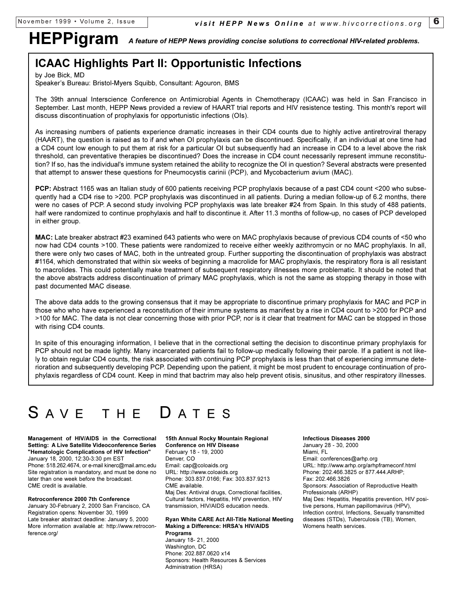# **HEPPigram** *A feature of HEPP News providing concise solutions to correctional HIV-related problems.*

### **ICAAC Highlights Part II: Opportunistic Infections**

by Joe Bick, MD

Speaker's Bureau: Bristol-Myers Squibb, Consultant: Agouron, BMS

The 39th annual Interscience Conference on Antimicrobial Agents in Chemotherapy (ICAAC) was held in San Francisco in September. Last month, HEPP News provided a review of HAART trial reports and HIV resistence testing. This month's report will discuss discontinuation of prophylaxis for opportunistic infections (OIs).

As increasing numbers of patients experience dramatic increases in their CD4 counts due to highly active antiretroviral therapy (HAART), the question is raised as to if and when OI prophylaxis can be discontinued. Specifically, if an individual at one time had a CD4 count low enough to put them at risk for a particular OI but subsequently had an increase in CD4 to a level above the risk threshold, can preventative therapies be discontinued? Does the increase in CD4 count necessarily represent immune reconstitution? If so, has the individual's immune system retained the ability to recognize the OI in question? Several abstracts were presented that attempt to answer these questions for Pneumocystis carinii (PCP), and Mycobacterium avium (MAC).

**PCP:** Abstract 1165 was an Italian study of 600 patients receiving PCP prophylaxis because of a past CD4 count <200 who subsequently had a CD4 rise to >200. PCP prophylaxis was discontinued in all patients. During a median follow-up of 6.2 months, there were no cases of PCP. A second study involving PCP prophylaxis was late breaker #24 from Spain. In this study of 488 patients, half were randomized to continue prophylaxis and half to discontinue it. After 11.3 months of follow-up, no cases of PCP developed in either group.

**MAC:** Late breaker abstract #23 examined 643 patients who were on MAC prophylaxis because of previous CD4 counts of <50 who now had CD4 counts >100. These patients were randomized to receive either weekly azithromycin or no MAC prophylaxis. In all, there were only two cases of MAC, both in the untreated group. Further supporting the discontinuation of prophylaxis was abstract #1164, which demonstrated that within six weeks of beginning a macrolide for MAC prophylaxis, the respiratory flora is all resistant to macrolides. This could potentially make treatment of subsequent respiratory illnesses more problematic. It should be noted that the above abstracts address discontinuation of primary MAC prophylaxis, which is not the same as stopping therapy in those with past documented MAC disease.

The above data adds to the growing consensus that it may be appropriate to discontinue primary prophylaxis for MAC and PCP in those who who have experienced a reconstitution of their immune systems as manifest by a rise in CD4 count to >200 for PCP and >100 for MAC. The data is not clear concerning those with prior PCP, nor is it clear that treatment for MAC can be stopped in those with rising CD4 counts.

In spite of this enouraging information, I believe that in the correctional setting the decision to discontinue primary prophylaxis for PCP should not be made lightly. Many incarcerated patients fail to follow-up medically following their parole. If a patient is not likely to obtain regular CD4 counts, the risk associated with continuing PCP prophylaxis is less than that of experiencing immune deterioration and subsequently developing PCP. Depending upon the patient, it might be most prudent to encourage continuation of prophylaxis regardless of CD4 count. Keep in mind that bactrim may also help prevent otisis, sinusitus, and other respiratory illnesses.

# SAVE THE DATES

**Management of HIV/AIDS in the Correctional Setting: A Live Satellite Videoconference Series "Hematologic Complications of HIV Infection"** January 18, 2000, 12:30-3:30 pm EST Phone: 518.262.4674, or e-mail kinerc@mail.amc.edu Site registration is mandatory, and must be done no later than one week before the broadcast. CME credit is available.

### **Retroconference 2000 7th Conference**

January 30-February 2, 2000 San Francisco, CA Registration opens: November 30, 1999 Late breaker abstract deadline: January 5, 2000 More information available at: http://www.retroconference.org/

**15th Annual Rocky Mountain Regional Conference on HIV Disease** February 18 - 19, 2000 Denver, CO Email: cap@coloaids.org URL: http://www.coloaids.org Phone: 303.837.0166; Fax: 303.837.9213 CME available. Maj Des: Antiviral drugs, Correctional facilities,

Cultural factors, Hepatitis, HIV prevention, HIV transmission, HIV/AIDS education needs.

#### **Ryan White CARE Act All-Title National Meeting Making a Difference: HRSA's HIV/AIDS Programs**

January 18- 21, 2000 Washington, DC Phone: 202.887.0620 x14 Sponsors: Health Resources & Services Administration (HRSA)

**Infectious Diseases 2000** January 28 - 30, 2000 Miami, FL Email: conferences@arhp.org URL: http://www.arhp.org/arhpframeconf.html Phone: 202.466.3825 or 877.444.ARHP; Fax: 202.466.3826 Sponsors: Association of Reproductive Health Professionals (ARHP) Maj Des: Hepatitis, Hepatitis prevention, HIV positive persons, Human papillomavirus (HPV), Infection control, Infections, Sexually transmitted diseases (STDs), Tuberculosis (TB), Women, Womens health services.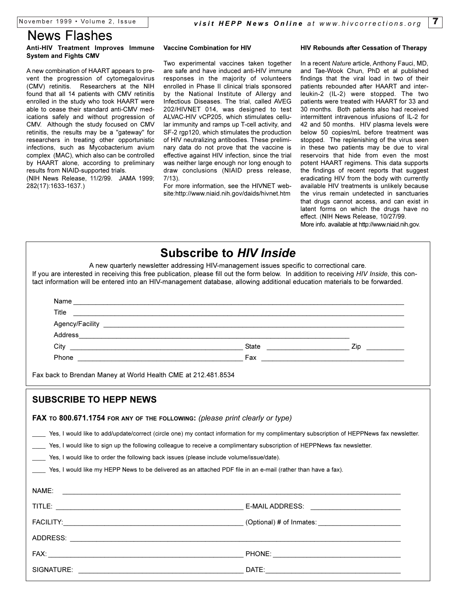### News Flashes

### **Anti-HIV Treatment Improves Immune System and Fights CMV**

A new combination of HAART appears to prevent the progression of cytomegalovirus (CMV) retinitis. Researchers at the NIH found that all 14 patients with CMV retinitis enrolled in the study who took HAART were able to cease their standard anti-CMV medications safely and without progression of CMV. Although the study focused on CMV retinitis, the results may be a "gateway" for researchers in treating other opportunistic infections, such as Mycobacterium avium complex (MAC), which also can be controlled by HAART alone, according to preliminary results from NIAID-supported trials.

(NIH News Release, 11/2/99. JAMA 1999; 282(17):1633-1637.)

### **Vaccine Combination for HIV**

Two experimental vaccines taken together are safe and have induced anti-HIV immune responses in the majority of volunteers enrolled in Phase II clinical trials sponsored by the National Institute of Allergy and Infectious Diseases. The trial, called AVEG 202/HIVNET 014, was designed to test ALVAC-HIV vCP205, which stimulates cellular immunity and ramps up T-cell activity, and SF-2 rgp120, which stimulates the production of HIV neutralizing antibodies. These preliminary data do not prove that the vaccine is effective against HIV infection, since the trial was neither large enough nor long enough to draw conclusions (NIAID press release, 7/13).

For more information, see the HIVNET website:http://www.niaid.nih.gov/daids/hivnet.htm

### **HIV Rebounds after Cessation of Therapy**

In a recent *Nature* article, Anthony Fauci, MD, and Tae-Wook Chun, PhD et al published findings that the viral load in two of their patients rebounded after HAART and interleukin-2 (IL-2) were stopped. The two patients were treated with HAART for 33 and 30 months. Both patients also had received intermittent intravenous infusions of IL-2 for 42 and 50 months. HIV plasma levels were below 50 copies/mL before treatment was stopped. The replenishing of the virus seen in these two patients may be due to viral reservoirs that hide from even the most potent HAART regimens. This data supports the findings of recent reports that suggest eradicating HIV from the body with currently available HIV treatments is unlikely because the virus remain undetected in sanctuaries that drugs cannot access, and can exist in latent forms on which the drugs have no effect. (NIH News Release, 10/27/99. More info. available at http://www.niaid.nih.gov.

| <b>Subscribe to HIV Inside</b><br>A new quarterly newsletter addressing HIV-management issues specific to correctional care.<br>If you are interested in receiving this free publication, please fill out the form below. In addition to receiving HIV Inside, this con-<br>tact information will be entered into an HIV-management database, allowing additional education materials to be forwarded. |       |  |
|--------------------------------------------------------------------------------------------------------------------------------------------------------------------------------------------------------------------------------------------------------------------------------------------------------------------------------------------------------------------------------------------------------|-------|--|
| Name                                                                                                                                                                                                                                                                                                                                                                                                   |       |  |
| Title<br><u> 1999 - Jan Samuel Barbara, margaret e seu a constructivo de la constructivo de la constructivo de la constructivo de la constructivo de la constructivo de la constructivo de la constructivo de la constructivo de la const</u>                                                                                                                                                          |       |  |
|                                                                                                                                                                                                                                                                                                                                                                                                        |       |  |
|                                                                                                                                                                                                                                                                                                                                                                                                        |       |  |
|                                                                                                                                                                                                                                                                                                                                                                                                        |       |  |
|                                                                                                                                                                                                                                                                                                                                                                                                        |       |  |
| Fax back to Brendan Maney at World Health CME at 212.481.8534                                                                                                                                                                                                                                                                                                                                          |       |  |
| <b>SUBSCRIBE TO HEPP NEWS</b>                                                                                                                                                                                                                                                                                                                                                                          |       |  |
| FAX TO 800.671.1754 FOR ANY OF THE FOLLOWING: (please print clearly or type)                                                                                                                                                                                                                                                                                                                           |       |  |
| Yes, I would like to add/update/correct (circle one) my contact information for my complimentary subscription of HEPPNews fax newsletter.                                                                                                                                                                                                                                                              |       |  |
| Yes, I would like to sign up the following colleague to receive a complimentary subscription of HEPPNews fax newsletter.                                                                                                                                                                                                                                                                               |       |  |
| Yes, I would like to order the following back issues (please include volume/issue/date).                                                                                                                                                                                                                                                                                                               |       |  |
| Yes, I would like my HEPP News to be delivered as an attached PDF file in an e-mail (rather than have a fax).                                                                                                                                                                                                                                                                                          |       |  |
| NAME:                                                                                                                                                                                                                                                                                                                                                                                                  |       |  |
| <u> 1980 - Johann John Stein, markin fan it ferstjer fan de fan it ferstjer fan it ferstjer fan it ferstjer fan i</u>                                                                                                                                                                                                                                                                                  |       |  |
|                                                                                                                                                                                                                                                                                                                                                                                                        |       |  |
|                                                                                                                                                                                                                                                                                                                                                                                                        |       |  |
|                                                                                                                                                                                                                                                                                                                                                                                                        |       |  |
|                                                                                                                                                                                                                                                                                                                                                                                                        |       |  |
| SIGNATURE:                                                                                                                                                                                                                                                                                                                                                                                             | DATE: |  |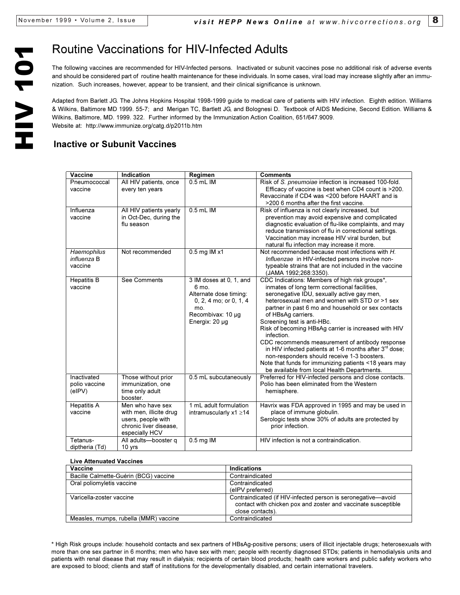The following vaccines are recommended for HIV-Infected persons. Inactivated or subunit vaccines pose no additional risk of adverse events and should be considered part of routine health maintenance for these individuals. In some cases, viral load may increase slightly after an immunization. Such increases, however, appear to be transient, and their clinical significance is unknown.

**Example 1018 Vaccinations for HIV-Infected Adults**<br>The following vaccines are recommended for HIV-Infected persons. Inactivated or subu<br>and should be considered part of routine health maintenance for these individuals. In Adapted from Barlett JG. The Johns Hopkins Hospital 1998-1999 guide to medical care of patients with HIV infection. Eighth edition. Williams & Wilkins, Baltimore MD 1999. 55-7; and Merigan TC, Bartlett JG, and Bolognesi D. Textbook of AIDS Medicine, Second Edition. Williams & Wilkins, Baltimore, MD. 1999. 322. Further informed by the Immunization Action Coalition, 651/647.9009. Website at: http://www.immunize.org/catg.d/p2011b.htm

### **Inactive or Subunit Vaccines**

| Vaccine                                | Indication                                                                                                    | Regimen                                                                                                                            | <b>Comments</b>                                                                                                                                                                                                                                                                                                                                                                                                                                                                                                                                                                                                                                       |
|----------------------------------------|---------------------------------------------------------------------------------------------------------------|------------------------------------------------------------------------------------------------------------------------------------|-------------------------------------------------------------------------------------------------------------------------------------------------------------------------------------------------------------------------------------------------------------------------------------------------------------------------------------------------------------------------------------------------------------------------------------------------------------------------------------------------------------------------------------------------------------------------------------------------------------------------------------------------------|
| Pneumococcal<br>vaccine                | All HIV patients, once<br>every ten years                                                                     | 0.5 mL IM                                                                                                                          | Risk of S. pneumoiae infection is increased 100-fold.<br>Efficacy of vaccine is best when CD4 count is >200.<br>Revaccinate if CD4 was <200 before HAART and is<br>>200 6 months after the first vaccine.                                                                                                                                                                                                                                                                                                                                                                                                                                             |
| Influenza<br>vaccine                   | All HIV patients yearly<br>in Oct-Dec, during the<br>flu season                                               | $0.5$ mL IM                                                                                                                        | Risk of influenza is not clearly increased, but<br>prevention may avoid expensive and complicated<br>diagnostic evaluation of flu-like complaints, and may<br>reduce transmission of flu in correctional settings.<br>Vaccination may increase HIV viral burden, but<br>natural flu infection may increase it more.                                                                                                                                                                                                                                                                                                                                   |
| Haemophilus<br>influenza B<br>vaccine  | Not recommended                                                                                               | 0.5 mg IM x1                                                                                                                       | Not recommended because most infections with H.<br>Influenzae in HIV-infected persons involve non-<br>typeable strains that are not included in the vaccine<br>(JAMA 1992;268:3350).                                                                                                                                                                                                                                                                                                                                                                                                                                                                  |
| <b>Hepatitis B</b><br>vaccine          | See Comments                                                                                                  | 3 IM doses at 0, 1, and<br>6 mo.<br>Alternate dose timing:<br>0, 2, 4 mo; or 0, 1, 4<br>mo.<br>Recombivax: 10 µg<br>Energix: 20 µg | CDC Indications: Members of high risk groups*,<br>inmates of long term correctional facilities,<br>seronegative IDU, sexually active gay men,<br>heterosexual men and women with STD or >1 sex<br>partner in past 6 mo and household or sex contacts<br>of HBsAg carriers.<br>Screening test is anti-HBc.<br>Risk of becoming HBsAg carrier is increased with HIV<br>infection.<br>CDC recommends measurement of antibody response<br>in HIV infected patients at 1-6 months after $3rd$ dose;<br>non-responders should receive 1-3 boosters.<br>Note that funds for immunizing patients <18 years may<br>be available from local Health Departments. |
| Inactivated<br>polio vaccine<br>(eIPV) | Those without prior<br>immunization, one<br>time only adult<br>booster.                                       | 0.5 mL subcutaneously                                                                                                              | Preferred for HIV-infected persons and close contacts.<br>Polio has been eliminated from the Western<br>hemisphere.                                                                                                                                                                                                                                                                                                                                                                                                                                                                                                                                   |
| <b>Hepatitis A</b><br>vaccine          | Men who have sex<br>with men, illicite drug<br>users, people with<br>chronic liver disease.<br>especially HCV | 1 mL adult formulation<br>intramuscularly $x1 \geq 14$                                                                             | Havrix was FDA approved in 1995 and may be used in<br>place of immune globulin.<br>Serologic tests show 30% of adults are protected by<br>prior infection.                                                                                                                                                                                                                                                                                                                                                                                                                                                                                            |
| Tetanus-<br>diptheria (Td)             | All adults-booster q<br>10 yrs                                                                                | $0.5$ mg IM                                                                                                                        | HIV infection is not a contraindication.                                                                                                                                                                                                                                                                                                                                                                                                                                                                                                                                                                                                              |

| <b>Live Attenuated Vaccines</b>       |                                                               |
|---------------------------------------|---------------------------------------------------------------|
| Vaccine                               | <b>Indications</b>                                            |
| Bacille Calmette-Guérin (BCG) vaccine | Contraindicated                                               |
| Oral poliomyletis vaccine             | Contraindicated                                               |
|                                       | (elPV preferred)                                              |
| Varicella-zoster vaccine              | Contraindicated (if HIV-infected person is seronegative—avoid |
|                                       | contact with chicken pox and zoster and vaccinate susceptible |
|                                       | close contacts).                                              |
| Measles, mumps, rubella (MMR) vaccine | Contraindicated                                               |

\* High Risk groups include: household contacts and sex partners of HBsAg-positive persons; users of illicit injectable drugs; heterosexuals with more than one sex partner in 6 months; men who have sex with men; people with recently diagnosed STDs; patients in hemodialysis units and patients with renal disease that may result in dialysis; recipients of certain blood products; health care workers and public safety workers who are exposed to blood; clients and staff of institutions for the developmentally disabled, and certain international travelers.